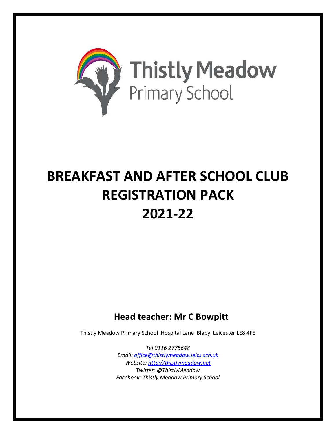

# **BREAKFAST AND AFTER SCHOOL CLUB REGISTRATION PACK 2021-22**

### **Head teacher: Mr C Bowpitt**

Thistly Meadow Primary School Hospital Lane Blaby Leicester LE8 4FE

*Tel 0116 2775648 Email: [office@thistlymeadow.leics.sch.uk](mailto:office@thistlymeadow.leics.sch.uk) Website: [http://thistlymeadow.net](http://thistlymeadow.net/) Twitter: @ThistlyMeadow Facebook: Thistly Meadow Primary School*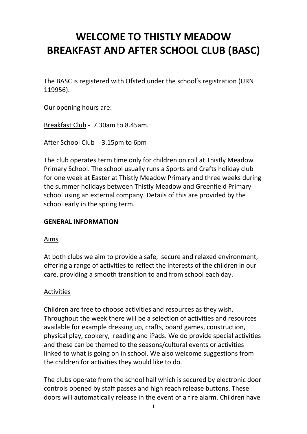## **WELCOME TO THISTLY MEADOW BREAKFAST AND AFTER SCHOOL CLUB (BASC)**

The BASC is registered with Ofsted under the school's registration (URN 119956).

Our opening hours are:

Breakfast Club - 7.30am to 8.45am.

After School Club - 3.15pm to 6pm

The club operates term time only for children on roll at Thistly Meadow Primary School. The school usually runs a Sports and Crafts holiday club for one week at Easter at Thistly Meadow Primary and three weeks during the summer holidays between Thistly Meadow and Greenfield Primary school using an external company. Details of this are provided by the school early in the spring term.

#### **GENERAL INFORMATION**

#### Aims

At both clubs we aim to provide a safe, secure and relaxed environment, offering a range of activities to reflect the interests of the children in our care, providing a smooth transition to and from school each day.

#### Activities

Children are free to choose activities and resources as they wish. Throughout the week there will be a selection of activities and resources available for example dressing up, crafts, board games, construction, physical play, cookery, reading and iPads. We do provide special activities and these can be themed to the seasons/cultural events or activities linked to what is going on in school. We also welcome suggestions from the children for activities they would like to do.

The clubs operate from the school hall which is secured by electronic door controls opened by staff passes and high reach release buttons. These doors will automatically release in the event of a fire alarm. Children have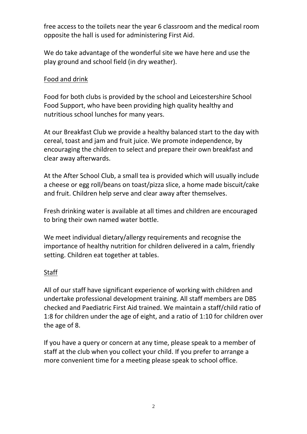free access to the toilets near the year 6 classroom and the medical room opposite the hall is used for administering First Aid.

We do take advantage of the wonderful site we have here and use the play ground and school field (in dry weather).

#### Food and drink

Food for both clubs is provided by the school and Leicestershire School Food Support, who have been providing high quality healthy and nutritious school lunches for many years.

At our Breakfast Club we provide a healthy balanced start to the day with cereal, toast and jam and fruit juice. We promote independence, by encouraging the children to select and prepare their own breakfast and clear away afterwards.

At the After School Club, a small tea is provided which will usually include a cheese or egg roll/beans on toast/pizza slice, a home made biscuit/cake and fruit. Children help serve and clear away after themselves.

Fresh drinking water is available at all times and children are encouraged to bring their own named water bottle.

We meet individual dietary/allergy requirements and recognise the importance of healthy nutrition for children delivered in a calm, friendly setting. Children eat together at tables.

#### Staff

All of our staff have significant experience of working with children and undertake professional development training. All staff members are DBS checked and Paediatric First Aid trained. We maintain a staff/child ratio of 1:8 for children under the age of eight, and a ratio of 1:10 for children over the age of 8.

If you have a query or concern at any time, please speak to a member of staff at the club when you collect your child. If you prefer to arrange a more convenient time for a meeting please speak to school office.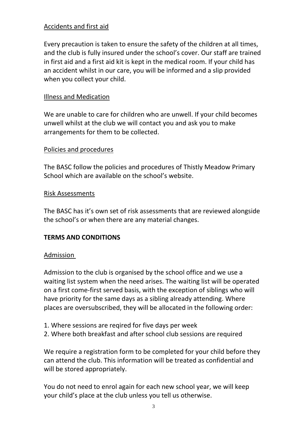#### Accidents and first aid

Every precaution is taken to ensure the safety of the children at all times, and the club is fully insured under the school's cover. Our staff are trained in first aid and a first aid kit is kept in the medical room. If your child has an accident whilst in our care, you will be informed and a slip provided when you collect your child.

#### Illness and Medication

We are unable to care for children who are unwell. If your child becomes unwell whilst at the club we will contact you and ask you to make arrangements for them to be collected.

#### Policies and procedures

The BASC follow the policies and procedures of Thistly Meadow Primary School which are available on the school's website.

#### Risk Assessments

The BASC has it's own set of risk assessments that are reviewed alongside the school's or when there are any material changes.

#### **TERMS AND CONDITIONS**

#### Admission

Admission to the club is organised by the school office and we use a waiting list system when the need arises. The waiting list will be operated on a first come-first served basis, with the exception of siblings who will have priority for the same days as a sibling already attending. Where places are oversubscribed, they will be allocated in the following order:

- 1. Where sessions are reqired for five days per week
- 2. Where both breakfast and after school club sessions are required

We require a registration form to be completed for your child before they can attend the club. This information will be treated as confidential and will be stored appropriately.

You do not need to enrol again for each new school year, we will keep your child's place at the club unless you tell us otherwise.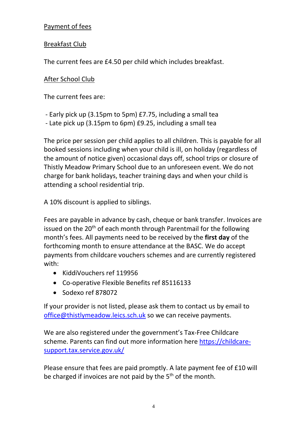#### Payment of fees

#### Breakfast Club

The current fees are £4.50 per child which includes breakfast.

#### After School Club

The current fees are:

- Early pick up (3.15pm to 5pm) £7.75, including a small tea
- Late pick up (3.15pm to 6pm) £9.25, including a small tea

The price per session per child applies to all children. This is payable for all booked sessions including when your child is ill, on holiday (regardless of the amount of notice given) occasional days off, school trips or closure of Thistly Meadow Primary School due to an unforeseen event. We do not charge for bank holidays, teacher training days and when your child is attending a school residential trip.

A 10% discount is applied to siblings.

Fees are payable in advance by cash, cheque or bank transfer. Invoices are issued on the 20<sup>th</sup> of each month through Parentmail for the following month's fees. All payments need to be received by the **first day** of the forthcoming month to ensure attendance at the BASC. We do accept payments from childcare vouchers schemes and are currently registered with:

- KiddiVouchers ref 119956
- Co-operative Flexible Benefits ref 85116133
- Sodexo ref 878072

If your provider is not listed, please ask them to contact us by email to [office@thistlymeadow.leics.sch.uk](mailto:office@thistlymeadow.leics.sch.uk) so we can receive payments.

We are also registered under the government's Tax-Free Childcare scheme. Parents can find out more information here [https://childcare](https://childcare-support.tax.service.gov.uk/)[support.tax.service.gov.uk/](https://childcare-support.tax.service.gov.uk/)

Please ensure that fees are paid promptly. A late payment fee of £10 will be charged if invoices are not paid by the 5<sup>th</sup> of the month.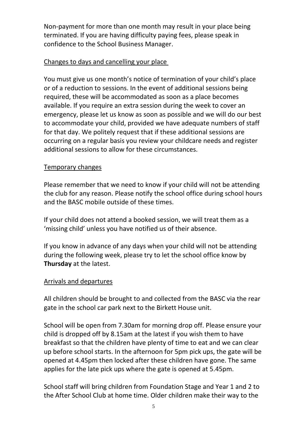Non-payment for more than one month may result in your place being terminated. If you are having difficulty paying fees, please speak in confidence to the School Business Manager.

#### Changes to days and cancelling your place

You must give us one month's notice of termination of your child's place or of a reduction to sessions. In the event of additional sessions being required, these will be accommodated as soon as a place becomes available. If you require an extra session during the week to cover an emergency, please let us know as soon as possible and we will do our best to accommodate your child, provided we have adequate numbers of staff for that day. We politely request that if these additional sessions are occurring on a regular basis you review your childcare needs and register additional sessions to allow for these circumstances.

#### Temporary changes

Please remember that we need to know if your child will not be attending the club for any reason. Please notify the school office during school hours and the BASC mobile outside of these times.

If your child does not attend a booked session, we will treat them as a 'missing child' unless you have notified us of their absence.

If you know in advance of any days when your child will not be attending during the following week, please try to let the school office know by **Thursday** at the latest.

#### Arrivals and departures

All children should be brought to and collected from the BASC via the rear gate in the school car park next to the Birkett House unit.

School will be open from 7.30am for morning drop off. Please ensure your child is dropped off by 8.15am at the latest if you wish them to have breakfast so that the children have plenty of time to eat and we can clear up before school starts. In the afternoon for 5pm pick ups, the gate will be opened at 4.45pm then locked after these children have gone. The same applies for the late pick ups where the gate is opened at 5.45pm.

School staff will bring children from Foundation Stage and Year 1 and 2 to the After School Club at home time. Older children make their way to the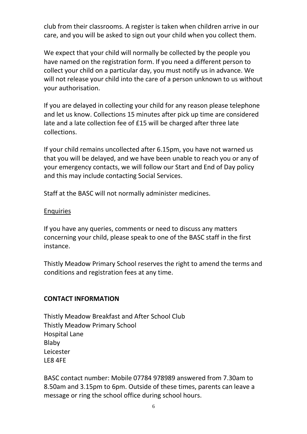club from their classrooms. A register is taken when children arrive in our care, and you will be asked to sign out your child when you collect them.

We expect that your child will normally be collected by the people you have named on the registration form. If you need a different person to collect your child on a particular day, you must notify us in advance. We will not release your child into the care of a person unknown to us without your authorisation.

If you are delayed in collecting your child for any reason please telephone and let us know. Collections 15 minutes after pick up time are considered late and a late collection fee of £15 will be charged after three late collections.

If your child remains uncollected after 6.15pm, you have not warned us that you will be delayed, and we have been unable to reach you or any of your emergency contacts, we will follow our Start and End of Day policy and this may include contacting Social Services.

Staff at the BASC will not normally administer medicines.

#### Enquiries

If you have any queries, comments or need to discuss any matters concerning your child, please speak to one of the BASC staff in the first instance.

Thistly Meadow Primary School reserves the right to amend the terms and conditions and registration fees at any time.

#### **CONTACT INFORMATION**

Thistly Meadow Breakfast and After School Club Thistly Meadow Primary School Hospital Lane Blaby Leicester LE8 4FE

BASC contact number: Mobile 07784 978989 answered from 7.30am to 8.50am and 3.15pm to 6pm. Outside of these times, parents can leave a message or ring the school office during school hours.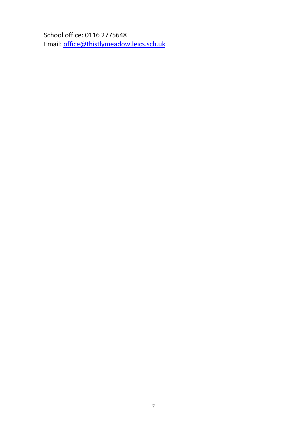School office: 0116 2775648 Email: [office@thistlymeadow.leics.sch.uk](mailto:office@thistlymeadow.leics.sch.uk)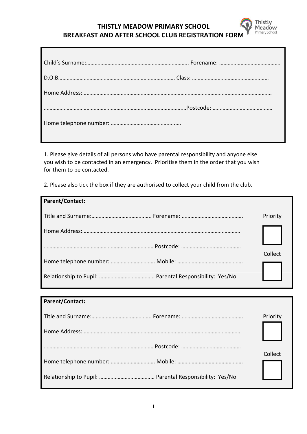#### **THISTLY MEADOW PRIMARY SCHOOL BREAKFAST AND AFTER SCHOOL CLUB REGISTRATION FORM**

**Thistly** Meadow Primary School

1. Please give details of all persons who have parental responsibility and anyone else you wish to be contacted in an emergency. Prioritise them in the order that you wish for them to be contacted.

2. Please also tick the box if they are authorised to collect your child from the club.

| Parent/Contact: |          |
|-----------------|----------|
|                 | Priority |
|                 |          |
|                 |          |
|                 | Collect  |
|                 |          |

| <b>Parent/Contact:</b> |          |
|------------------------|----------|
|                        | Priority |
|                        |          |
|                        |          |
|                        | Collect  |
|                        |          |
|                        |          |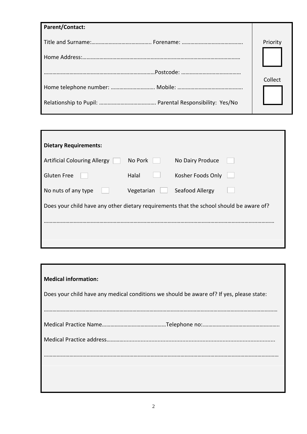| Parent/Contact: |          |
|-----------------|----------|
|                 | Priority |
|                 |          |
|                 |          |
|                 | Collect  |
|                 |          |
|                 |          |

| <b>Dietary Requirements:</b>                                                            |            |                   |  |
|-----------------------------------------------------------------------------------------|------------|-------------------|--|
| <b>Artificial Colouring Allergy</b>                                                     | No Pork    | No Dairy Produce  |  |
| <b>Gluten Free</b>                                                                      | Halal      | Kosher Foods Only |  |
| No nuts of any type                                                                     | Vegetarian | Seafood Allergy   |  |
| Does your child have any other dietary requirements that the school should be aware of? |            |                   |  |
|                                                                                         |            |                   |  |
|                                                                                         |            |                   |  |

| <b>Medical information:</b>                                                              |
|------------------------------------------------------------------------------------------|
| Does your child have any medical conditions we should be aware of? If yes, please state: |
|                                                                                          |
|                                                                                          |
|                                                                                          |
|                                                                                          |
|                                                                                          |
|                                                                                          |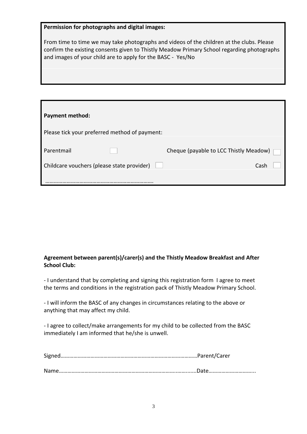| Permission for photographs and digital images:                                                                                                                                                                                                         |
|--------------------------------------------------------------------------------------------------------------------------------------------------------------------------------------------------------------------------------------------------------|
| From time to time we may take photographs and videos of the children at the clubs. Please<br>confirm the existing consents given to Thistly Meadow Primary School regarding photographs<br>and images of your child are to apply for the BASC - Yes/No |
|                                                                                                                                                                                                                                                        |

г

| Payment method:                               |                                        |
|-----------------------------------------------|----------------------------------------|
| Please tick your preferred method of payment: |                                        |
| Parentmail                                    | Cheque (payable to LCC Thistly Meadow) |
| Childcare vouchers (please state provider)    | Cash                                   |
|                                               |                                        |

#### **Agreement between parent(s)/carer(s) and the Thistly Meadow Breakfast and After School Club:**

- I understand that by completing and signing this registration form I agree to meet the terms and conditions in the registration pack of Thistly Meadow Primary School.

- I will inform the BASC of any changes in circumstances relating to the above or anything that may affect my child.

- I agree to collect/make arrangements for my child to be collected from the BASC immediately I am informed that he/she is unwell.